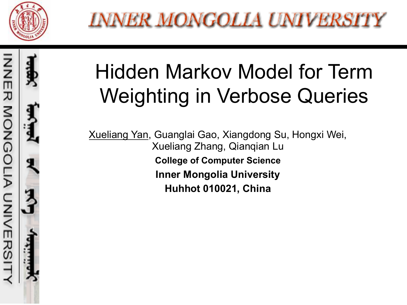



#### Hidden Markov Model for Term Weighting in Verbose Queries

Xueliang Yan, Guanglai Gao, Xiangdong Su, Hongxi Wei, Xueliang Zhang, Qianqian Lu **College of Computer Science Inner Mongolia University Huhhot 010021, China**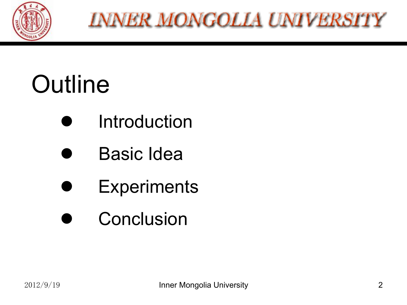

# **Outline**

- **Introduction**
- Basic Idea
- **Experiments**
- **Conclusion**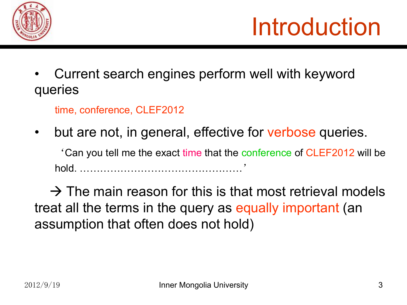

• Current search engines perform well with keyword queries

time, conference, CLEF2012

but are not, in general, effective for verbose queries.

'Can you tell me the exact time that the conference of CLEF2012 will be hold. …………………………………………'

 $\rightarrow$  The main reason for this is that most retrieval models treat all the terms in the query as equally important (an assumption that often does not hold)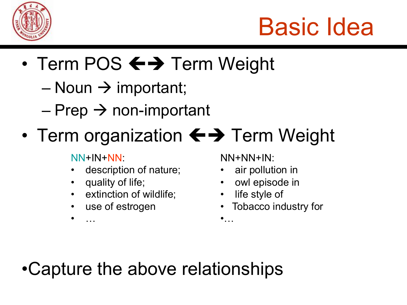

## Basic Idea

- Term POS  $\leftrightarrow$  Term Weight
	- Noun  $\rightarrow$  important;
	- $-$  Prep  $\rightarrow$  non-important
- Term organization  $\leftrightarrow$  Term Weight

NN+IN+NN:

• …

- description of nature;
- quality of life;
- extinction of wildlife;
- use of estrogen

NN+NN+IN:

- air pollution in
- owl episode in
- life style of
	- Tobacco industry for

 $\bullet$ ...

•Capture the above relationships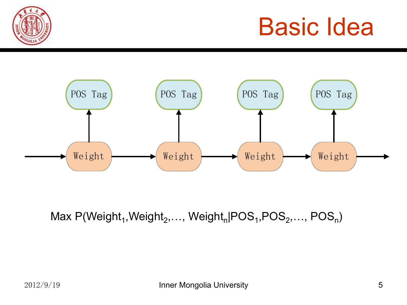### Basic Idea





Max  $P(Weight_1, Weight_2,..., Weight_n|POS_1,POS_2,...,POS_n)$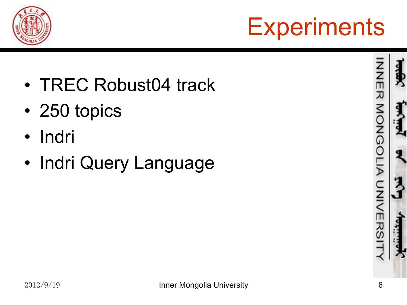



- TREC Robust04 track
- 250 topics
- Indri
- Indri Query Language

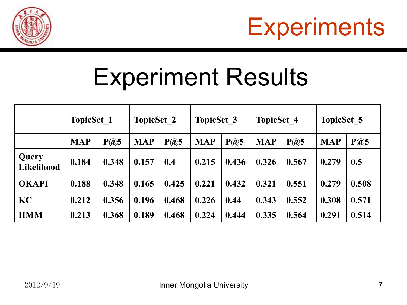



### Experiment Results

|                     | <b>TopicSet 1</b> |       | <b>TopicSet 2</b> |       | <b>TopicSet 3</b> |       | <b>TopicSet 4</b> |       | <b>TopicSet 5</b> |       |
|---------------------|-------------------|-------|-------------------|-------|-------------------|-------|-------------------|-------|-------------------|-------|
|                     | <b>MAP</b>        | P(a)5 | <b>MAP</b>        | P(a)5 | <b>MAP</b>        | P(a)5 | <b>MAP</b>        | P(a)5 | <b>MAP</b>        | P@5   |
| Query<br>Likelihood | 0.184             | 0.348 | 0.157             | 0.4   | 0.215             | 0.436 | 0.326             | 0.567 | 0.279             | 0.5   |
| <b>OKAPI</b>        | 0.188             | 0.348 | 0.165             | 0.425 | 0.221             | 0.432 | 0.321             | 0.551 | 0.279             | 0.508 |
| KC                  | 0.212             | 0.356 | 0.196             | 0.468 | 0.226             | 0.44  | 0.343             | 0.552 | 0.308             | 0.571 |
| <b>HMM</b>          | 0.213             | 0.368 | 0.189             | 0.468 | 0.224             | 0.444 | 0.335             | 0.564 | 0.291             | 0.514 |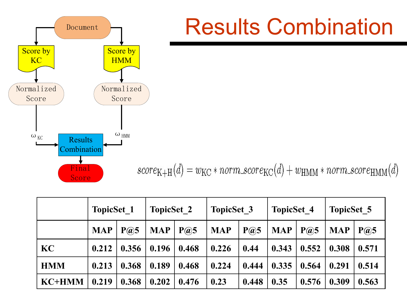

#### Results Combination

 $score_{K+H}(d) = w_{KC} * norm\_score_{KC}(d) + w_{HMM} * norm\_score_{HMM}(d)$ 

|               | <b>TopicSet 1</b> |                                 | <b>TopicSet 2</b> |       | <b>TopicSet 3</b> |       | <b>TopicSet 4</b> |       | <b>TopicSet 5</b> |                                 |
|---------------|-------------------|---------------------------------|-------------------|-------|-------------------|-------|-------------------|-------|-------------------|---------------------------------|
|               | <b>MAP</b>        | $P(\widehat{\boldsymbol{a}})$ 5 | <b>MAP</b>        | P(a)5 | <b>MAP</b>        | P(a)5 | <b>MAP</b>        | P(a)5 | <b>MAP</b>        | $P(\widehat{\boldsymbol{a}})$ 5 |
| KC            | 0.212             | 0.356                           | 0.196             | 0.468 | 0.226             | 0.44  | 0.343             | 0.552 | 0.308             | 0.571                           |
| <b>HMM</b>    | 0.213             | 0.368                           | 0.189             | 0.468 | 0.224             | 0.444 | 0.335             | 0.564 | 0.291             | 0.514                           |
| <b>KC+HMM</b> | 0.219             | 0.368                           | 0.202             | 0.476 | 0.23              | 0.448 | 0.35              | 0.576 | 0.309             | 0.563                           |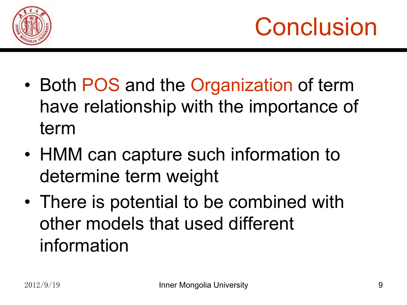



- Both POS and the Organization of term have relationship with the importance of term
- HMM can capture such information to determine term weight
- There is potential to be combined with other models that used different information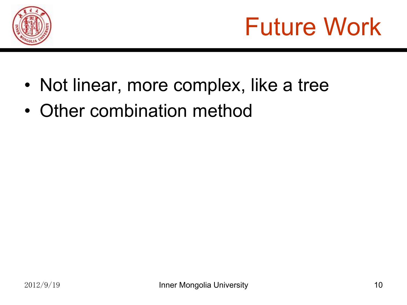

# Future Work

- Not linear, more complex, like a tree
- Other combination method